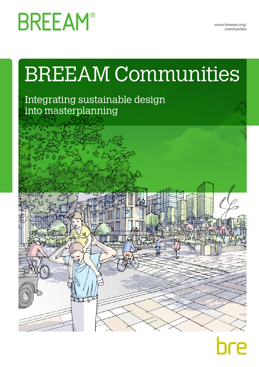**BREEAM®** 

www.breeam.org/ communities

# BREEAM Communities

# Integrating sustainable design into masterplanning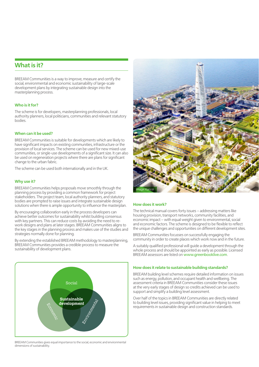## **What is it?**

BREEAM Communities is a way to improve, measure and certify the social, environmental and economic sustainability of large-scale development plans by integrating sustainable design into the masterplanning process.

## **Who is it for?**

The scheme is for developers, masterplanning professionals, local authority planners, local politicians, communities and relevant statutory bodies.

## **When can it be used?**

BREEAM Communities is suitable for developments which are likely to have significant impacts on existing communities, infrastructure or the provision of local services. The scheme can be used for new mixed-use communities, or single-use developments of a significant size. It can also be used on regeneration projects where there are plans for significant change to the urban fabric.

The scheme can be used both internationally and in the UK.

#### **Why use it?**

BREEAM Communities helps proposals move smoothly through the planning process by providing a common framework for project stakeholders. The project team, local authority planners, and statutory bodies are prompted to raise issues and integrate sustainable design solutions when there is ample opportunity to influence the masterplan.

By encouraging collaboration early in the process developers can achieve better outcomes for sustainability whilst building consensus with key partners. This can reduce costs by avoiding the need to rework designs and plans at later stages. BREEAM Communities aligns to the key stages in the planning process and makes use of the studies and strategies normally done for planning.

By extending the established BREEAM methodology to masterplanning, BREEAM Communities provides a credible process to measure the sustainability of development plans.



BREEAM Communities gives equal importance to the social, economic and environmental dimensions of sustainability.



#### **How does it work?**

The technical manual covers forty issues – addressing matters like housing provision, transport networks, community facilities, and economic impact – with equal weight given to environmental, social and economic factors. The scheme is designed to be flexible to reflect the unique challenges and opportunities on different development sites.

BREEAM Communities focusses on successfully engaging the community in order to create places which work now and in the future.

A suitably qualified professional will guide a development through the whole process and should be appointed as early as possible. Licensed BREEAM assessors are listed on www.greenbooklive.com.

#### **How does it relate to sustainable building standards?**

BREEAM building level schemes require detailed information on issues such as energy, pollution, and occupant health and wellbeing. The assessment criteria in BREEAM Communities consider these issues at the very early stages of design so credits achieved can be used to support and simplify a building level assessment.

Over half of the topics in BREEAM Communities are directly related to building level issues, providing significant value in helping to meet requirements in sustainable design and construction standards.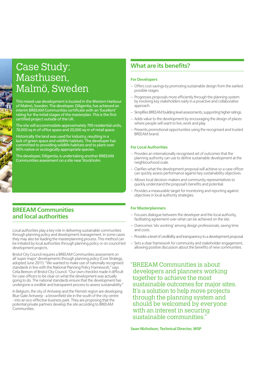# Case Study: Masthusen, Malmö, Sweden

This mixed-use development is located in the Western Harbour of Malmö, Sweden. The developer, Diligentia, has achieved an interim BREEAM Communities certificate with an 'Excellent' rating for the initial stages of the masterplan. This is the first certified project outside of the UK.

The site will accommodate approximately 700 residential units, 70,000 sq m of office space and 20,000 sq m of retail space.

Historically the land was used for industry, resulting in a lack of green space and wildlife habitats. The developer has committed to providing wildlife habitats and to plant over 90% native or ecologically appropriate species.

The developer, Diligentia, is undertaking another BREEAM Communities assessment on a site near Stockholm.

## **BREEAM Communities and local authorities**

Local authorities play a key role in delivering sustainable communities through planning policy and development management. In some cases they may also be leading the masterplanning process. This method can be initiated by local authorities through planning policy or on council led development projects.

Bristol City Council requires a BREEAM Communities assessment on all 'super major' developments through planning policy (Core Strategy, adopted June 2011). "We wanted to make use of nationally recognised standards in line with the National Planning Policy Framework," says Celia Beeson of Bristol City Council. "Our own checklist made it difficult for case officers to be clear on what the development was actually going to do. The national standards ensure that the development has undergone a credible and transparent process to assess sustainability."

In Belgium, the city of Antwerp and the Flemish region are developing Blue Gate Antwerp - a brownfield site in the south of the city centre - into an eco-effective business park. They are proposing that the potential private partners develop the site according to BREEAM Communities.

## **What are its benefits?**

## **For Developers**

- Offers cost savings by promoting sustainable design from the earliest possible stages.
- Progresses proposals more efficiently through the planning system by involving key stakeholders early in a proactive and collaborative approach.
- Simplifies BREEAM building level assessments, supporting higher ratings.
- Adds value to the development by encouraging the design of places where people will want to live, work and play.
- Presents promotional opportunities using the recognised and trusted BREEAM brand.

## **For Local Authorities**

- Provides an internationally recognised set of outcomes that the planning authority can use to define sustainable development at the neighbourhood scale.
- Clarifies what the development proposal will achieve so a case officer can quickly assess performance against key sustainability objectives.
- Allows local decision-makers and community representatives to quickly understand the proposal's benefits and potential.
- Provides a measurable target for monitoring and reporting against objectives in local authority strategies.

## **For Masterplanners**

- Focuses dialogue between the developer and the local authority, facilitating agreement over what can be achieved on the site.
- Overcomes 'silo working' among design professionals, saving time and costs.
- Provides a level of credibility and transparency to a development proposal.
- Sets a clear framework for community and stakeholder engagement, allowing positive discussion about the benefits of new communities.

"BREEAM Communities is about developers and planners working together to achieve the most sustainable outcomes for major sites. It's a solution to help move projects through the planning system and should be welcomed by everyone with an interest in securing sustainable communities."

**Sean Nicholson, Technical Director, WSP**